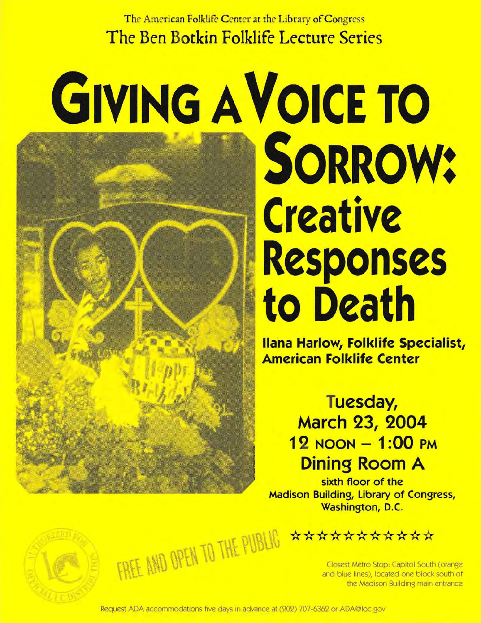The American Folklife Center at the Library of Congress The Ben Botkin Folklife Lecture Series

## **GIVING A VOICE TO** SORROW: Creative Responses to Death

lIana Harlow, Folklife Specialist, **American Folklife Center** 

> Tuesday, March 23, 2004  $12$  NOON  $-1:00$  PM Dining Room A

sixth floor of the Madison Building, Library of Congress, Washington, D.C.





\*\*\*\*\*\*\*\*\*\*\*\*

Closest Metro Stop, CapItol Soulh (orange and blue lines), located one block south of the Madison BUilding main entrance